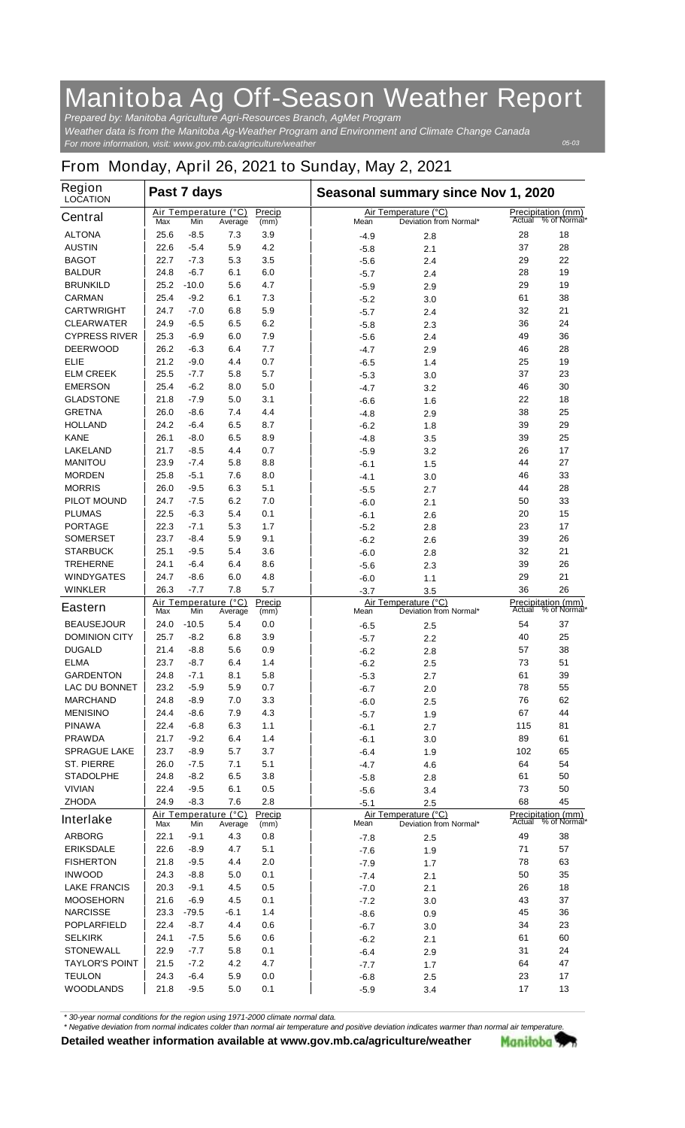## **Manitoba Ag Off-Season Weather Report**

*For more information, visit: www.gov.mb.ca/agriculture/weather Prepared by: Manitoba Agriculture Agri-Resources Branch, AgMet Program Weather data is from the Manitoba Ag-Weather Program and Environment and Climate Change Canada*

*05-03*

## **From Monday, April 26, 2021 to Sunday, May 2, 2021**

| <b>Region</b><br><b>LOCATION</b> |                                                                 | Past 7 days |                                 |                |        | Seasonal summary since Nov 1, 2020             |        |                                           |  |
|----------------------------------|-----------------------------------------------------------------|-------------|---------------------------------|----------------|--------|------------------------------------------------|--------|-------------------------------------------|--|
| <b>Central</b>                   | Max                                                             | Min         | Air Temperature (°C)<br>Average | Precip<br>(mm) | Mean   | Air Temperature (°C)<br>Deviation from Normal* | Actual | <b>Precipitation (mm)</b><br>% of Normal* |  |
| <b>ALTONA</b>                    | 25.6                                                            | $-8.5$      | 7.3                             | 3.9            | $-4.9$ | 2.8                                            | 28     | 18                                        |  |
| <b>AUSTIN</b>                    | 22.6                                                            | $-5.4$      | 5.9                             | 4.2            | $-5.8$ | 2.1                                            | 37     | 28                                        |  |
| <b>BAGOT</b>                     | 22.7                                                            | $-7.3$      | 5.3                             | 3.5            | $-5.6$ | 2.4                                            | 29     | 22                                        |  |
| <b>BALDUR</b>                    | 24.8                                                            | $-6.7$      | 6.1                             | 6.0            | $-5.7$ | 2.4                                            | 28     | 19                                        |  |
| <b>BRUNKILD</b>                  | 25.2                                                            | $-10.0$     | 5.6                             | 4.7            | $-5.9$ | 2.9                                            | 29     | 19                                        |  |
| <b>CARMAN</b>                    | 25.4                                                            | $-9.2$      | 6.1                             | 7.3            | $-5.2$ | 3.0                                            | 61     | 38                                        |  |
| <b>CARTWRIGHT</b>                | 24.7                                                            | $-7.0$      | 6.8                             | 5.9            | $-5.7$ | 2.4                                            | 32     | 21                                        |  |
| <b>CLEARWATER</b>                | 24.9                                                            | $-6.5$      | 6.5                             | 6.2            | $-5.8$ | 2.3                                            | 36     | 24                                        |  |
| <b>CYPRESS RIVER</b>             | 25.3                                                            | $-6.9$      | 6.0                             | 7.9            | $-5.6$ | 2.4                                            | 49     | 36                                        |  |
| <b>DEERWOOD</b>                  | 26.2                                                            | $-6.3$      | 6.4                             | 7.7            | -4.7   | 2.9                                            | 46     | 28                                        |  |
| <b>ELIE</b>                      | 21.2                                                            | $-9.0$      | 4.4                             | 0.7            | $-6.5$ | 1.4                                            | 25     | 19                                        |  |
| <b>ELM CREEK</b>                 | 25.5                                                            | $-7.7$      | 5.8                             | 5.7            | $-5.3$ | 3.0                                            | 37     | 23                                        |  |
| <b>EMERSON</b>                   | 25.4                                                            | $-6.2$      | 8.0                             | 5.0            | $-4.7$ | 3.2                                            | 46     | 30                                        |  |
| <b>GLADSTONE</b>                 | 21.8                                                            | $-7.9$      | 5.0                             | 3.1            | $-6.6$ | 1.6                                            | 22     | 18                                        |  |
| <b>GRETNA</b>                    | 26.0                                                            | $-8.6$      | 7.4                             | 4.4            | $-4.8$ | 2.9                                            | 38     | 25                                        |  |
| <b>HOLLAND</b>                   | 24.2                                                            | $-6.4$      | 6.5                             | 8.7            | $-6.2$ | 1.8                                            | 39     | 29                                        |  |
| <b>KANE</b>                      | 26.1                                                            | $-8.0$      | 6.5                             | 8.9            | $-4.8$ | 3.5                                            | 39     | 25                                        |  |
| <b>LAKELAND</b>                  | 21.7                                                            | $-8.5$      | 4.4                             | 0.7            | $-5.9$ | 3.2                                            | 26     | 17                                        |  |
| <b>MANITOU</b>                   | 23.9                                                            | -7.4        | 5.8                             | 8.8            | $-6.1$ | 1.5                                            | 44     | 27                                        |  |
| <b>MORDEN</b>                    | 25.8                                                            | $-5.1$      | 7.6                             | 8.0            | $-4.1$ | 3.0                                            | 46     | 33                                        |  |
| <b>MORRIS</b>                    | 26.0                                                            | $-9.5$      | 6.3                             | 5.1            | $-5.5$ | 2.7                                            | 44     | 28                                        |  |
| <b>PILOT MOUND</b>               | 24.7                                                            | $-7.5$      | 6.2                             | 7.0            | $-6.0$ | 2.1                                            | 50     | 33                                        |  |
| <b>PLUMAS</b>                    | 22.5                                                            | $-6.3$      | 5.4                             | 0.1            | $-6.1$ | 2.6                                            | 20     | 15                                        |  |
| <b>PORTAGE</b>                   | 22.3                                                            | $-7.1$      | 5.3                             | 1.7            | $-5.2$ | 2.8                                            | 23     | 17                                        |  |
| <b>SOMERSET</b>                  | 23.7                                                            | $-8.4$      | 5.9                             | 9.1            | $-6.2$ | 2.6                                            | 39     | 26                                        |  |
| <b>STARBUCK</b>                  | 25.1                                                            | $-9.5$      | 5.4                             | 3.6            | $-6.0$ | 2.8                                            | 32     | 21                                        |  |
| <b>TREHERNE</b>                  | 24.1                                                            | $-6.4$      | 6.4                             | 8.6            | $-5.6$ | 2.3                                            | 39     | 26                                        |  |
| <b>WINDYGATES</b>                | 24.7                                                            | $-8.6$      | 6.0                             | 4.8            | $-6.0$ | 1.1                                            | 29     | 21                                        |  |
| <b>WINKLER</b>                   | 26.3                                                            | $-7.7$      | 7.8                             | 5.7            | $-3.7$ | 3.5                                            | 36     | 26                                        |  |
| <b>Eastern</b>                   | Max                                                             | Min         | Air Temperature (°C)<br>Average | Precip<br>(mm) | Mean   | Air Temperature (°C)<br>Deviation from Normal* | Actual | <b>Precipitation (mm)</b><br>% of Normal* |  |
| <b>BEAUSEJOUR</b>                | 24.0                                                            | $-10.5$     | 5.4                             | 0.0            | $-6.5$ | 2.5                                            | 54     | 37                                        |  |
| <b>DOMINION CITY</b>             | 25.7                                                            | $-8.2$      | 6.8                             | 3.9            | $-5.7$ | 2.2                                            | 40     | 25                                        |  |
| <b>DUGALD</b>                    | 21.4                                                            | $-8.8$      | 5.6                             | 0.9            | $-6.2$ | 2.8                                            | 57     | 38                                        |  |
| <b>ELMA</b>                      | 23.7                                                            | $-8.7$      | 6.4                             | 1.4            | $-6.2$ | 2.5                                            | 73     | 51                                        |  |
| <b>GARDENTON</b>                 | 24.8                                                            | $-7.1$      | 8.1                             | 5.8            | $-5.3$ | 2.7                                            | 61     | 39                                        |  |
| <b>LAC DU BONNET</b>             | 23.2                                                            | $-5.9$      | 5.9                             | 0.7            | $-6.7$ | 2.0                                            | 78     | 55                                        |  |
| <b>MARCHAND</b>                  | 24.8                                                            | $-8.9$      | 7.0                             | 3.3            | $-6.0$ | 2.5                                            | 76     | 62                                        |  |
| <b>MENISINO</b>                  | 24.4                                                            | $-8.6$      | 7.9                             | 4.3            | $-5.7$ | 1.9                                            | 67     | 44                                        |  |
| <b>PINAWA</b>                    | 22.4                                                            | $-6.8$      | 6.3                             | 1.1            | $-6.1$ | 2.7                                            | 115    | 81                                        |  |
| <b>PRAWDA</b>                    | 21.7                                                            | $-9.2$      | 6.4                             | 1.4            | $-6.1$ | 3.0                                            | 89     | 61                                        |  |
| <b>SPRAGUE LAKE</b>              | 23.7                                                            | $-8.9$      | 5.7                             | 3.7            | $-6.4$ | 1.9                                            | 102    | 65                                        |  |
| <b>ST. PIERRE</b>                | 26.0                                                            | $-7.5$      | 7.1                             | 5.1            | -4.7   | 4.6                                            | 64     | 54                                        |  |
| <b>STADOLPHE</b>                 | 24.8                                                            | $-8.2$      | 6.5                             | 3.8            | $-5.8$ | 2.8                                            | 61     | 50                                        |  |
| <b>VIVIAN</b>                    | 22.4                                                            | $-9.5$      | 6.1                             | 0.5            | $-5.6$ | 3.4                                            | 73     | 50                                        |  |
| <b>ZHODA</b>                     | 24.9                                                            | $-8.3$      | 7.6                             | 2.8            | $-5.1$ | 2.5                                            | 68     | 45                                        |  |
| <b>Interlake</b>                 | Air Temperature (°C)<br>Precip<br>Min<br>Max<br>Average<br>(mm) |             |                                 |                | Mean   | Air Temperature (°C)<br>Deviation from Normal* |        |                                           |  |
| <b>ARBORG</b>                    | 22.1                                                            | $-9.1$      | 4.3                             | 0.8            | $-7.8$ | 2.5                                            | 49     | 38                                        |  |
| <b>ERIKSDALE</b>                 | 22.6                                                            | $-8.9$      | 4.7                             | 5.1            | $-7.6$ | 1.9                                            | 71     | 57                                        |  |
| <b>FISHERTON</b>                 | 21.8                                                            | $-9.5$      | 4.4                             | 2.0            | -7.9   | 1.7                                            | 78     | 63                                        |  |
| <b>INWOOD</b>                    | 24.3                                                            | $-8.8$      | 5.0                             | 0.1            | $-7.4$ | 2.1                                            | 50     | 35                                        |  |
| <b>LAKE FRANCIS</b>              | 20.3                                                            | $-9.1$      | 4.5                             | 0.5            | $-7.0$ | 2.1                                            | 26     | 18                                        |  |
| <b>MOOSEHORN</b>                 | 21.6                                                            | $-6.9$      | 4.5                             | 0.1            | $-7.2$ | 3.0                                            | 43     | 37                                        |  |
| <b>NARCISSE</b>                  | 23.3                                                            | -79.5       | -6.1                            | 1.4            | $-8.6$ | 0.9                                            | 45     | 36                                        |  |
| <b>POPLARFIELD</b>               | 22.4                                                            | $-8.7$      | 4.4                             | 0.6            | $-6.7$ | 3.0                                            | 34     | 23                                        |  |
| <b>SELKIRK</b>                   | 24.1                                                            | $-7.5$      | 5.6                             | 0.6            | $-6.2$ | 2.1                                            | 61     | 60                                        |  |
| <b>STONEWALL</b>                 | 22.9                                                            | $-7.7$      | 5.8                             | 0.1            | $-6.4$ | 2.9                                            | 31     | 24                                        |  |
| <b>TAYLOR'S POINT</b>            | 21.5                                                            | $-7.2$      | 4.2                             | 4.7            | $-7.7$ | 1.7                                            | 64     | 47                                        |  |
| <b>TEULON</b>                    | 24.3                                                            | $-6.4$      | 5.9                             | 0.0            | $-6.8$ | 2.5                                            | 23     | 17                                        |  |
| <b>WOODLANDS</b>                 | 21.8                                                            | $-9.5$      | 5.0                             | 0.1            | $-5.9$ | 3.4                                            | 17     | 13                                        |  |

*\* 30-year normal conditions for the region using 1971-2000 climate normal data.*

*\* Negative deviation from normal indicates colder than normal air temperature and positive deviation indicates warmer than normal air temperature.***Detailed weather information available at www.gov.mb.ca/agriculture/weather** Manitoba 77